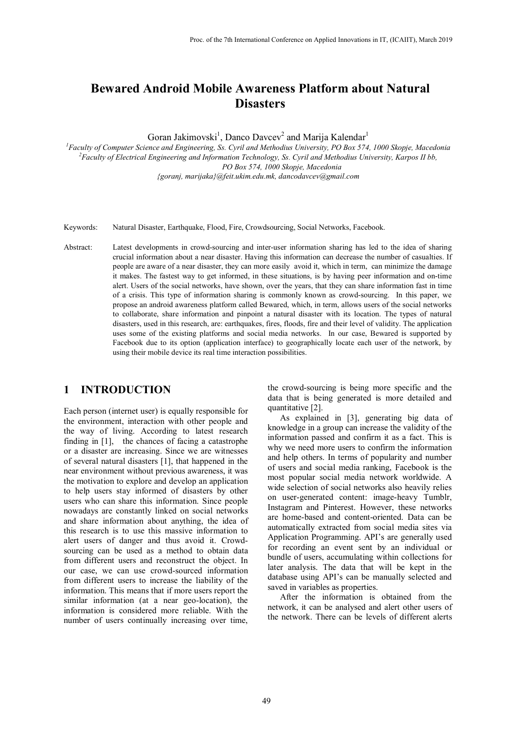# **Bewared Android Mobile Awareness Platform about Natural Disasters**

Goran Jakimovski<sup>1</sup>, Danco Davcev<sup>2</sup> and Marija Kalendar<sup>1</sup>

*1 Faculty of Computer Science and Engineering, Ss. Cyril and Methodius University, PO Box 574, 1000 Skopje, Macedonia 2 Faculty of Electrical Engineering and Information Technology, Ss. Cyril and Methodius University, Karpos II bb, PO Box 574, 1000 Skopje, Macedonia {goranj, marijaka}@feit.ukim.edu.mk, dancodavcev@gmail.com*

Keywords: Natural Disaster, Earthquake, Flood, Fire, Crowdsourcing, Social Networks, Facebook.

Abstract: Latest developments in crowd-sourcing and inter-user information sharing has led to the idea of sharing crucial information about a near disaster. Having this information can decrease the number of casualties. If people are aware of a near disaster, they can more easily avoid it, which in term, can minimize the damage it makes. The fastest way to get informed, in these situations, is by having peer information and on-time alert. Users of the social networks, have shown, over the years, that they can share information fast in time of a crisis. This type of information sharing is commonly known as crowd-sourcing. In this paper, we propose an android awareness platform called Bewared, which, in term, allows users of the social networks to collaborate, share information and pinpoint a natural disaster with its location. The types of natural disasters, used in this research, are: earthquakes, fires, floods, fire and their level of validity. The application uses some of the existing platforms and social media networks. In our case, Bewared is supported by Facebook due to its option (application interface) to geographically locate each user of the network, by using their mobile device its real time interaction possibilities.

### **1 INTRODUCTION**

Each person (internet user) is equally responsible for the environment, interaction with other people and the way of living. According to latest research finding in [1], the chances of facing a catastrophe or a disaster are increasing. Since we are witnesses of several natural disasters [1], that happened in the near environment without previous awareness, it was the motivation to explore and develop an application to help users stay informed of disasters by other users who can share this information. Since people nowadays are constantly linked on social networks and share information about anything, the idea of this research is to use this massive information to alert users of danger and thus avoid it. Crowdsourcing can be used as a method to obtain data from different users and reconstruct the object. In our case, we can use crowd-sourced information from different users to increase the liability of the information. This means that if more users report the similar information (at a near geo-location), the information is considered more reliable. With the number of users continually increasing over time,

the crowd-sourcing is being more specific and the data that is being generated is more detailed and quantitative [2].

As explained in [3], generating big data of knowledge in a group can increase the validity of the information passed and confirm it as a fact. This is why we need more users to confirm the information and help others. In terms of popularity and number of users and social media ranking, Facebook is the most popular social media network worldwide. A wide selection of social networks also heavily relies on user-generated content: image-heavy Tumblr, Instagram and Pinterest. However, these networks are home-based and content-oriented. Data can be automatically extracted from social media sites via Application Programming. API's are generally used for recording an event sent by an individual or bundle of users, accumulating within collections for later analysis. The data that will be kept in the database using API's can be manually selected and saved in variables as properties.

After the information is obtained from the network, it can be analysed and alert other users of the network. There can be levels of different alerts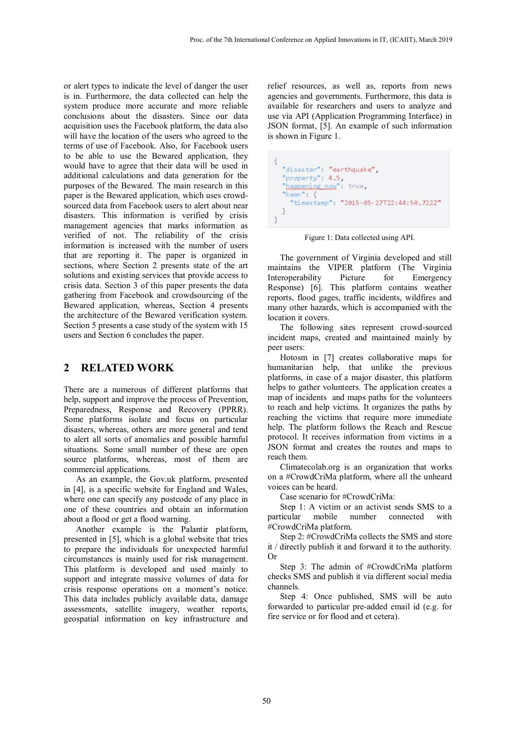or alert types to indicate the level of danger the user is in. Furthermore, the data collected can help the system produce more accurate and more reliable conclusions about the disasters. Since our data acquisition uses the Facebook platform, the data also will have the location of the users who agreed to the terms of use of Facebook. Also, for Facebook users to be able to use the Bewared application, they would have to agree that their data will be used in additional calculations and data generation for the purposes of the Bewared. The main research in this paper is the Bewared application, which uses crowdsourced data from Facebook users to alert about near disasters. This information is verified by crisis management agencies that marks information as verified of not. The reliability of the crisis information is increased with the number of users that are reporting it. The paper is organized in sections, where Section 2 presents state of the art solutions and existing services that provide access to crisis data. Section 3 of this paper presents the data gathering from Facebook and crowdsourcing of the Bewared application, whereas, Section 4 presents the architecture of the Bewared verification system. Section 5 presents a case study of the system with 15 users and Section 6 concludes the paper.

## **2 RELATED WORK**

There are a numerous of different platforms that help, support and improve the process of Prevention, Preparedness, Response and Recovery (PPRR). Some platforms isolate and focus on particular disasters, whereas, others are more general and tend to alert all sorts of anomalies and possible harmful situations. Some small number of these are open source platforms, whereas, most of them are commercial applications.

As an example, the Gov.uk platform, presented in [4], is a specific website for England and Wales, where one can specify any postcode of any place in one of these countries and obtain an information about a flood or get a flood warning.

Another example is the Palantir platform, presented in [5], which is a global website that tries to prepare the individuals for unexpected harmful circumstances is mainly used for risk management. This platform is developed and used mainly to support and integrate massive volumes of data for crisis response operations on a moment's notice. This data includes publicly available data, damage assessments, satellite imagery, weather reports, geospatial information on key infrastructure and

relief resources, as well as, reports from news agencies and governments. Furthermore, this data is available for researchers and users to analyze and use via API (Application Programming Interface) in JSON format, [5]. An example of such information is shown in Figure 1.

```
€
  "disaster": "earthquake",
  "property": 4.5.
  "happening_new": true,
  "keen": {
    "timestamp": "2015-05-27T22:44:50.722Z"
  }
\mathcal{L}
```
Figure 1: Data collected using API.

The government of Virginia developed and still maintains the VIPER platform (The Virginia Interoperability Picture for Emergency Response) [6]. This platform contains weather reports, flood gages, traffic incidents, wildfires and many other hazards, which is accompanied with the location it covers.

The following sites represent crowd-sourced incident maps, created and maintained mainly by peer users:

Hotosm in [7] creates collaborative maps for humanitarian help, that unlike the previous platforms, in case of a major disaster, this platform helps to gather volunteers. The application creates a map of incidents and maps paths for the volunteers to reach and help victims. It organizes the paths by reaching the victims that require more immediate help. The platform follows the Reach and Rescue protocol. It receives information from victims in a JSON format and creates the routes and maps to reach them.

Climatecolab.org is an organization that works on a #CrowdCriMa platform, where all the unheard voices can be heard.

Case scenario for #CrowdCriMa:

Step 1: A victim or an activist sends SMS to a<br>particular mobile number connected with mobile number connected with #CrowdCriMa platform.

Step 2: #CrowdCriMa collects the SMS and store it / directly publish it and forward it to the authority. Or

Step 3: The admin of #CrowdCriMa platform checks SMS and publish it via different social media channels.

Step 4: Once published, SMS will be auto forwarded to particular pre-added email id (e.g. for fire service or for flood and et cetera).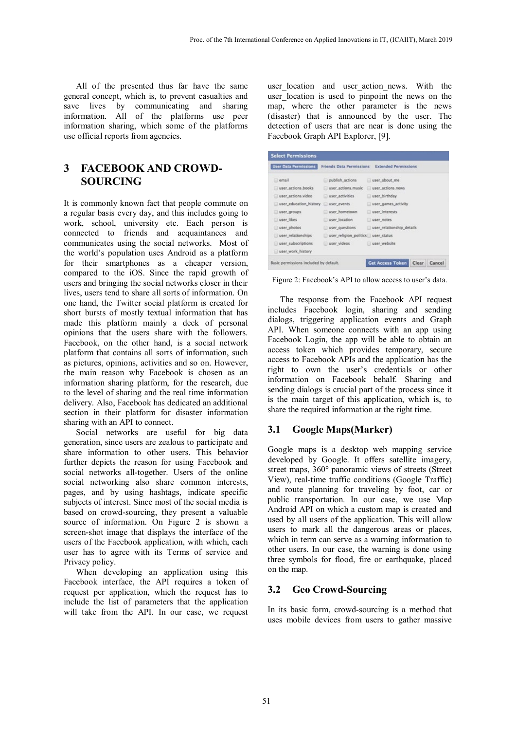All of the presented thus far have the same general concept, which is, to prevent casualties and save lives by communicating and sharing information. All of the platforms use peer information sharing, which some of the platforms use official reports from agencies.

## **3 FACEBOOK AND CROWD-SOURCING**

It is commonly known fact that people commute on a regular basis every day, and this includes going to work, school, university etc. Each person is connected to friends and acquaintances and communicates using the social networks. Most of the world's population uses Android as a platform for their smartphones as a cheaper version, compared to the iOS. Since the rapid growth of users and bringing the social networks closer in their lives, users tend to share all sorts of information. On one hand, the Twitter social platform is created for short bursts of mostly textual information that has made this platform mainly a deck of personal opinions that the users share with the followers. Facebook, on the other hand, is a social network platform that contains all sorts of information, such as pictures, opinions, activities and so on. However, the main reason why Facebook is chosen as an information sharing platform, for the research, due to the level of sharing and the real time information delivery. Also, Facebook has dedicated an additional section in their platform for disaster information sharing with an API to connect.

Social networks are useful for big data generation, since users are zealous to participate and share information to other users. This behavior further depicts the reason for using Facebook and social networks all-together. Users of the online social networking also share common interests, pages, and by using hashtags, indicate specific subjects of interest. Since most of the social media is based on crowd-sourcing, they present a valuable source of information. On Figure 2 is shown a screen-shot image that displays the interface of the users of the Facebook application, with which, each user has to agree with its Terms of service and Privacy policy.

When developing an application using this Facebook interface, the API requires a token of request per application, which the request has to include the list of parameters that the application will take from the API. In our case, we request

user location and user action news. With the user location is used to pinpoint the news on the map, where the other parameter is the news (disaster) that is announced by the user. The detection of users that are near is done using the Facebook Graph API Explorer, [9].

| <b>User Data Permissions</b> | <b>Friends Data Permissions</b>    | <b>Extended Permissions</b> |
|------------------------------|------------------------------------|-----------------------------|
| email                        | publish actions                    | user about me               |
| user_actions.books           | user actions music                 | user_actions.news           |
| user_actions.video           | user activities                    | user birthday               |
| user education history       | wser events                        | user games activity         |
| user groups                  | user hometown                      | user interests              |
| user likes                   | user location                      | user notes                  |
| user_photos                  | user questions                     | user relationship details   |
| user relationships           | user religion politics user status |                             |
| user subscriptions           | user videos                        | user website                |
| user_work_history            |                                    |                             |

Figure 2: Facebook's API to allow access to user's data.

The response from the Facebook API request includes Facebook login, sharing and sending dialogs, triggering application events and Graph API. When someone connects with an app using Facebook Login, the app will be able to obtain an access token which provides temporary, secure access to Facebook APIs and the application has the right to own the user's credentials or other information on Facebook behalf. Sharing and sending dialogs is crucial part of the process since it is the main target of this application, which is, to share the required information at the right time.

### **3.1 Google Maps(Marker)**

Google maps is a desktop web mapping service developed by Google. It offers satellite imagery, street maps, 360° panoramic views of streets (Street View), real-time traffic conditions (Google Traffic) and route planning for traveling by foot, car or public transportation. In our case, we use Map Android API on which a custom map is created and used by all users of the application. This will allow users to mark all the dangerous areas or places, which in term can serve as a warning information to other users. In our case, the warning is done using three symbols for flood, fire or earthquake, placed on the map.

#### **3.2 Geo Crowd-Sourcing**

In its basic form, crowd-sourcing is a method that uses mobile devices from users to gather massive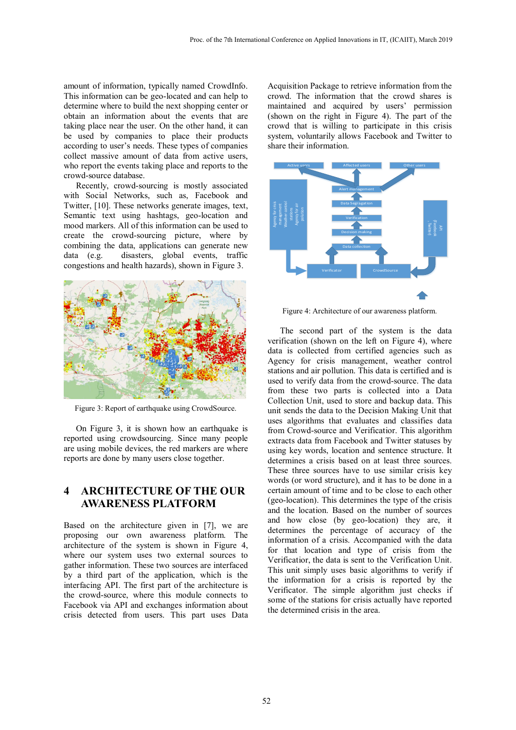amount of information, typically named CrowdInfo. This information can be geo-located and can help to determine where to build the next shopping center or obtain an information about the events that are taking place near the user. On the other hand, it can be used by companies to place their products according to user's needs. These types of companies collect massive amount of data from active users, who report the events taking place and reports to the crowd-source database.

Recently, crowd-sourcing is mostly associated with Social Networks, such as, Facebook and Twitter, [10]. These networks generate images, text, Semantic text using hashtags, geo-location and mood markers. All of this information can be used to create the crowd-sourcing picture, where by combining the data, applications can generate new data (e.g. disasters, global events, traffic congestions and health hazards), shown in Figure 3.



Figure 3: Report of earthquake using CrowdSource.

On Figure 3, it is shown how an earthquake is reported using crowdsourcing. Since many people are using mobile devices, the red markers are where reports are done by many users close together.

## **4 ARCHITECTURE OF THE OUR AWARENESS PLATFORM**

Based on the architecture given in [7], we are proposing our own awareness platform. The architecture of the system is shown in Figure 4, where our system uses two external sources to gather information. These two sources are interfaced by a third part of the application, which is the interfacing API. The first part of the architecture is the crowd-source, where this module connects to Facebook via API and exchanges information about crisis detected from users. This part uses Data

Acquisition Package to retrieve information from the crowd. The information that the crowd shares is maintained and acquired by users' permission (shown on the right in Figure 4). The part of the crowd that is willing to participate in this crisis system, voluntarily allows Facebook and Twitter to share their information.



Figure 4: Architecture of our awareness platform.

The second part of the system is the data verification (shown on the left on Figure 4), where data is collected from certified agencies such as Agency for crisis management, weather control stations and air pollution. This data is certified and is used to verify data from the crowd-source. The data from these two parts is collected into a Data Collection Unit, used to store and backup data. This unit sends the data to the Decision Making Unit that uses algorithms that evaluates and classifies data from Crowd-source and Verificatior. This algorithm extracts data from Facebook and Twitter statuses by using key words, location and sentence structure. It determines a crisis based on at least three sources. These three sources have to use similar crisis key words (or word structure), and it has to be done in a certain amount of time and to be close to each other (geo-location). This determines the type of the crisis and the location. Based on the number of sources and how close (by geo-location) they are, it determines the percentage of accuracy of the information of a crisis. Accompanied with the data for that location and type of crisis from the Verificatior, the data is sent to the Verification Unit. This unit simply uses basic algorithms to verify if the information for a crisis is reported by the Verificator. The simple algorithm just checks if some of the stations for crisis actually have reported the determined crisis in the area.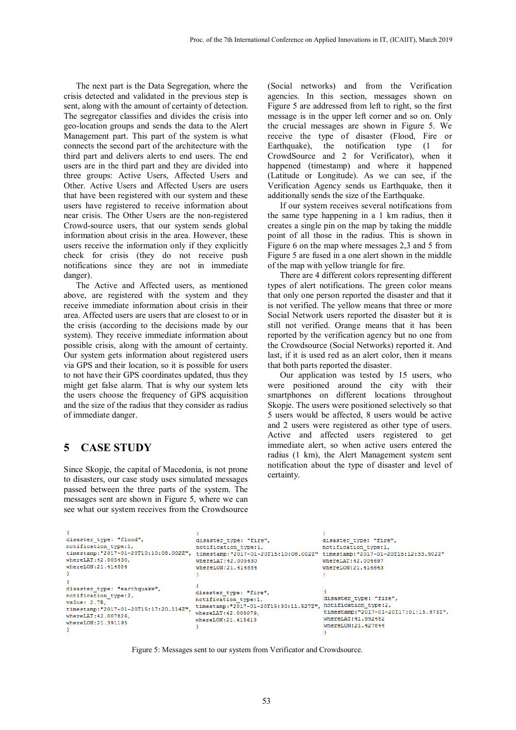The next part is the Data Segregation, where the crisis detected and validated in the previous step is sent, along with the amount of certainty of detection. The segregator classifies and divides the crisis into geo-location groups and sends the data to the Alert Management part. This part of the system is what connects the second part of the architecture with the third part and delivers alerts to end users. The end users are in the third part and they are divided into three groups: Active Users, Affected Users and Other. Active Users and Affected Users are users that have been registered with our system and these users have registered to receive information about near crisis. The Other Users are the non-registered Crowd-source users, that our system sends global information about crisis in the area. However, these users receive the information only if they explicitly check for crisis (they do not receive push notifications since they are not in immediate danger).

The Active and Affected users, as mentioned above, are registered with the system and they receive immediate information about crisis in their area. Affected users are users that are closest to or in the crisis (according to the decisions made by our system). They receive immediate information about possible crisis, along with the amount of certainty. Our system gets information about registered users via GPS and their location, so it is possible for users to not have their GPS coordinates updated, thus they might get false alarm. That is why our system lets the users choose the frequency of GPS acquisition and the size of the radius that they consider as radius of immediate danger.

### **5 CASE STUDY**

Since Skopje, the capital of Macedonia, is not prone to disasters, our case study uses simulated messages passed between the three parts of the system. The messages sent are shown in Figure 5, where we can see what our system receives from the Crowdsource (Social networks) and from the Verification agencies. In this section, messages shown on Figure 5 are addressed from left to right, so the first message is in the upper left corner and so on. Only the crucial messages are shown in Figure 5. We receive the type of disaster (Flood, Fire or Earthquake), the notification type (1 for CrowdSource and 2 for Verificator), when it happened (timestamp) and where it happened (Latitude or Longitude). As we can see, if the Verification Agency sends us Earthquake, then it additionally sends the size of the Earthquake.

If our system receives several notifications from the same type happening in a 1 km radius, then it creates a single pin on the map by taking the middle point of all those in the radius. This is shown in Figure 6 on the map where messages 2,3 and 5 from Figure 5 are fused in a one alert shown in the middle of the map with yellow triangle for fire.

There are 4 different colors representing different types of alert notifications. The green color means that only one person reported the disaster and that it is not verified. The yellow means that three or more Social Network users reported the disaster but it is still not verified. Orange means that it has been reported by the verification agency but no one from the Crowdsource (Social Networks) reported it. And last, if it is used red as an alert color, then it means that both parts reported the disaster.

Our application was tested by 15 users, who were positioned around the city with their smartphones on different locations throughout Skopje. The users were positioned selectively so that 5 users would be affected, 8 users would be active and 2 users were registered as other type of users. Active and affected users registered to get immediate alert, so when active users entered the radius (1 km), the Alert Management system sent notification about the type of disaster and level of certainty.

```
disaster_type: "flood",
                                           disaster type: "fire",
                                                                                    disaster type: "fire",
                                           notification_type:1,
                                                                                     notification_type:1,
notification type:1,
timestamp:"2017-01-20T10:10:08.002Z", timestamp:"2017-01-20T15:10:08.002Z" timestamp:"2017-01-20T15:12:33.902Z"
whereLAT: 42.005430.
                                           whereLAT: 42.005430
                                                                                    whereLAT: 42, 004697
whereLON:21.414884
                                           whereLON:21.414884
                                                                                     whereLON:21.416643
                                           \overline{1}disaster_type: "earthquake",
                                          disaster_type: "fire",
notification_type:2,
                                          notification_type:1, disaster_type: "fire<br>timestamp:"2017-01-20T15:30:11.5272", notification_type:2,<br>timestamp:"2017-01-20T15:30:11.5272", timestamp:"2017-01-2
                                                                                     disaster type: "fire",
value: 2.7R.timestamp:"2017-01-20T17:01:15.973Z",
whereLAT: 42.007826,
                                                                                     whereLAT: 41.992482
                                          whereLON: 21.415613
whereLON:21.391195
                                                                                     whereLON: 21.427844
                                           \mathbf{I}
```
Figure 5: Messages sent to our system from Verificator and Crowdsource.